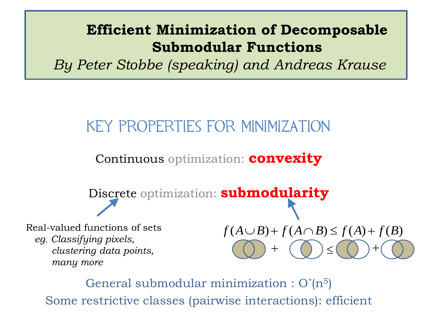#### **Efficient Minimization of Decomposable Submodular Functions**

*By Peter Stobbe (speaking) and Andreas Krause*

### Key properties for minimization

Continuous optimization: **convexity**

Discrete optimization: **submodularity**

Real-valued functions of sets *eg. Classifying pixels, clustering data points, many more*

 $+$  (  $()$  )  $\leq$  $\ddot{}$ 

General submodular minimization :  $O^{*}(n^{5})$ Some restrictive classes (pairwise interactions): efficient  $f(A \cup B) + f(A \cap B) \le f(A) + f(B)$ <br>
Some restrictive classes (pairwise interactions): efficient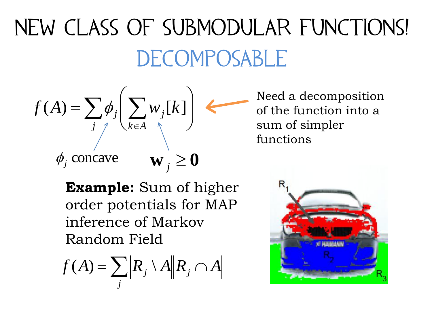# New Class of Submodular Functions! **DECOMPOSABLE**

$$
f(A) = \sum_{j} \phi_j \left( \sum_{k \in A} w_j [k] \right)
$$
  

$$
\phi_j
$$
 concave 
$$
\mathbf{w}_j \ge \mathbf{0}
$$

**Example:** Sum of higher order potentials for MAP inference of Markov Random Field

$$
f(A) = \sum_{j} \left| R_{j} \setminus A \right| \left| R_{j} \cap A \right|
$$

Need a decomposition of the function into a sum of simpler functions

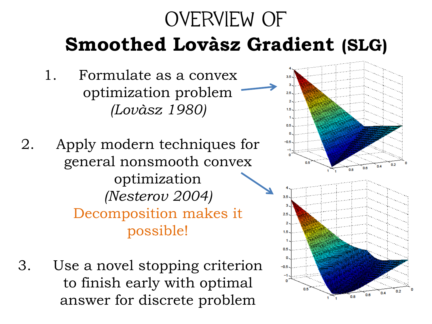### OVERVIEW OF **Smoothed Lovàsz Gradient (SLG)**

- 1. Formulate as a convex optimization problem *(Lovàsz 1980)*
- 2. Apply modern techniques for general nonsmooth convex optimization *(Nesterov 2004)* Decomposition makes it possible!
- 3. Use a novel stopping criterion to finish early with optimal answer for discrete problem